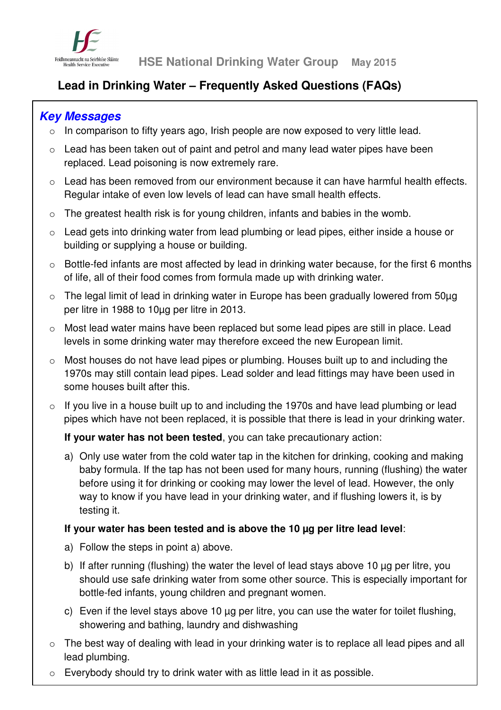

# **Lead in Drinking Water – Frequently Asked Questions (FAQs)**

# **Key Messages**

- o In comparison to fifty years ago, Irish people are now exposed to very little lead.
- o Lead has been taken out of paint and petrol and many lead water pipes have been replaced. Lead poisoning is now extremely rare.
- o Lead has been removed from our environment because it can have harmful health effects. Regular intake of even low levels of lead can have small health effects.
- o The greatest health risk is for young children, infants and babies in the womb.
- o Lead gets into drinking water from lead plumbing or lead pipes, either inside a house or building or supplying a house or building.
- o Bottle-fed infants are most affected by lead in drinking water because, for the first 6 months of life, all of their food comes from formula made up with drinking water.
- $\circ$  The legal limit of lead in drinking water in Europe has been gradually lowered from 50 $\mu$ g per litre in 1988 to 10µg per litre in 2013.
- o Most lead water mains have been replaced but some lead pipes are still in place. Lead levels in some drinking water may therefore exceed the new European limit.
- o Most houses do not have lead pipes or plumbing. Houses built up to and including the 1970s may still contain lead pipes. Lead solder and lead fittings may have been used in some houses built after this.
- o If you live in a house built up to and including the 1970s and have lead plumbing or lead pipes which have not been replaced, it is possible that there is lead in your drinking water.

# **If your water has not been tested**, you can take precautionary action:

a) Only use water from the cold water tap in the kitchen for drinking, cooking and making baby formula. If the tap has not been used for many hours, running (flushing) the water before using it for drinking or cooking may lower the level of lead. However, the only way to know if you have lead in your drinking water, and if flushing lowers it, is by testing it.

# **If your water has been tested and is above the 10 µg per litre lead level**:

- a) Follow the steps in point a) above.
- b) If after running (flushing) the water the level of lead stays above 10 µg per litre, you should use safe drinking water from some other source. This is especially important for bottle-fed infants, young children and pregnant women.
- c) Even if the level stays above 10 µg per litre, you can use the water for toilet flushing, showering and bathing, laundry and dishwashing
- o The best way of dealing with lead in your drinking water is to replace all lead pipes and all lead plumbing.
- o Everybody should try to drink water with as little lead in it as possible.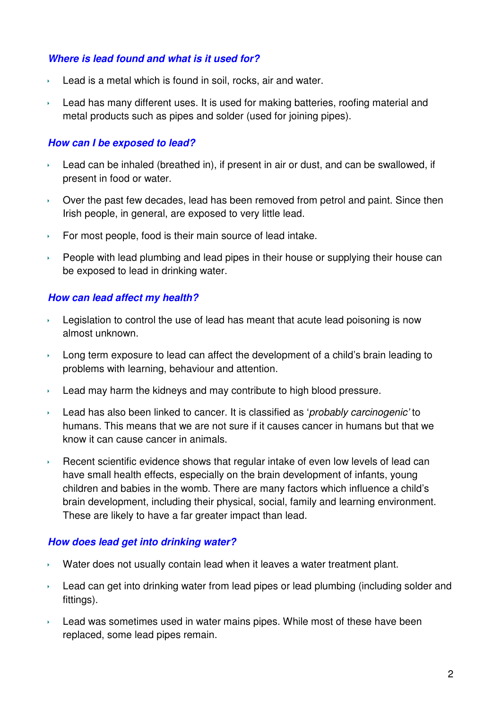#### **Where is lead found and what is it used for?**

- Lead is a metal which is found in soil, rocks, air and water.
- Lead has many different uses. It is used for making batteries, roofing material and metal products such as pipes and solder (used for joining pipes).

#### **How can I be exposed to lead?**

- Lead can be inhaled (breathed in), if present in air or dust, and can be swallowed, if present in food or water.
- Over the past few decades, lead has been removed from petrol and paint. Since then Irish people, in general, are exposed to very little lead.
- $\rightarrow$  For most people, food is their main source of lead intake.
- $\rightarrow$  People with lead plumbing and lead pipes in their house or supplying their house can be exposed to lead in drinking water.

#### **How can lead affect my health?**

- Legislation to control the use of lead has meant that acute lead poisoning is now almost unknown.
- **Long term exposure to lead can affect the development of a child's brain leading to** problems with learning, behaviour and attention.
- $\rightarrow$  Lead may harm the kidneys and may contribute to high blood pressure.
- Lead has also been linked to cancer. It is classified as '*probably carcinogenic'* to humans. This means that we are not sure if it causes cancer in humans but that we know it can cause cancer in animals.
- Recent scientific evidence shows that regular intake of even low levels of lead can have small health effects, especially on the brain development of infants, young children and babies in the womb. There are many factors which influence a child's brain development, including their physical, social, family and learning environment. These are likely to have a far greater impact than lead.

#### **How does lead get into drinking water?**

- Water does not usually contain lead when it leaves a water treatment plant.
- Lead can get into drinking water from lead pipes or lead plumbing (including solder and fittings).
- $\overline{\phantom{a}}$  Lead was sometimes used in water mains pipes. While most of these have been replaced, some lead pipes remain.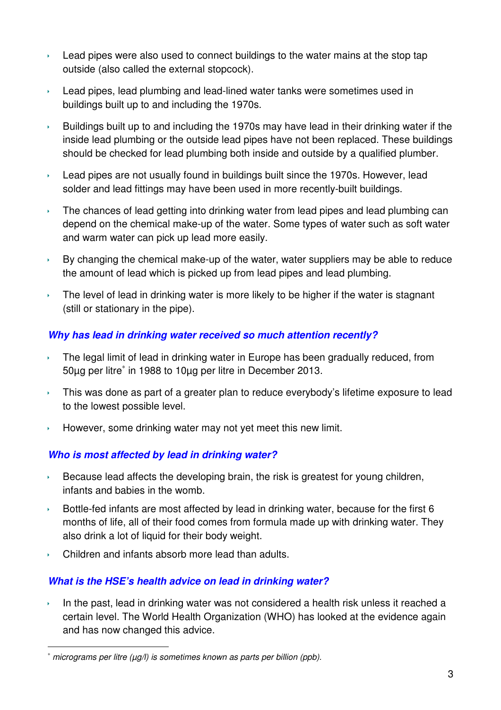- Lead pipes were also used to connect buildings to the water mains at the stop tap outside (also called the external stopcock).
- **Lead pipes, lead plumbing and lead-lined water tanks were sometimes used in** buildings built up to and including the 1970s.
- Buildings built up to and including the 1970s may have lead in their drinking water if the inside lead plumbing or the outside lead pipes have not been replaced. These buildings should be checked for lead plumbing both inside and outside by a qualified plumber.
- **Lead pipes are not usually found in buildings built since the 1970s. However, lead** solder and lead fittings may have been used in more recently-built buildings.
- $\overline{\phantom{a}}$  The chances of lead getting into drinking water from lead pipes and lead plumbing can depend on the chemical make-up of the water. Some types of water such as soft water and warm water can pick up lead more easily.
- $\rightarrow$  By changing the chemical make-up of the water, water suppliers may be able to reduce the amount of lead which is picked up from lead pipes and lead plumbing.
- The level of lead in drinking water is more likely to be higher if the water is stagnant (still or stationary in the pipe).

# **Why has lead in drinking water received so much attention recently?**

- $\rightarrow$  The legal limit of lead in drinking water in Europe has been gradually reduced, from 50µg per litre<sup>∗</sup> in 1988 to 10µg per litre in December 2013.
- $\rightarrow$  This was done as part of a greater plan to reduce everybody's lifetime exposure to lead to the lowest possible level.
- $\rightarrow$  However, some drinking water may not yet meet this new limit.

# **Who is most affected by lead in drinking water?**

- $\rightarrow$  Because lead affects the developing brain, the risk is greatest for young children, infants and babies in the womb.
- Bottle-fed infants are most affected by lead in drinking water, because for the first  $6$ months of life, all of their food comes from formula made up with drinking water. They also drink a lot of liquid for their body weight.
- ▶ Children and infants absorb more lead than adults.

 $\overline{a}$ 

# **What is the HSE's health advice on lead in drinking water?**

In the past, lead in drinking water was not considered a health risk unless it reached a certain level. The World Health Organization (WHO) has looked at the evidence again and has now changed this advice.

<sup>∗</sup> micrograms per litre (µg/l) is sometimes known as parts per billion (ppb).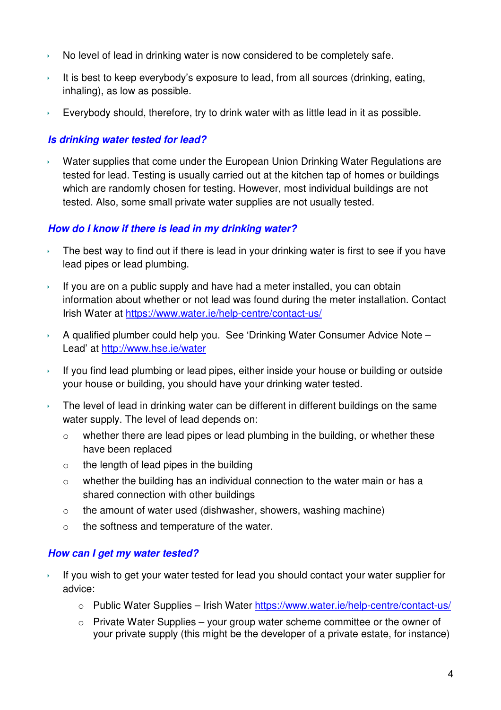- $\rightarrow$  No level of lead in drinking water is now considered to be completely safe.
- It is best to keep everybody's exposure to lead, from all sources (drinking, eating, inhaling), as low as possible.
- Everybody should, therefore, try to drink water with as little lead in it as possible.

# **Is drinking water tested for lead?**

 Water supplies that come under the European Union Drinking Water Regulations are tested for lead. Testing is usually carried out at the kitchen tap of homes or buildings which are randomly chosen for testing. However, most individual buildings are not tested. Also, some small private water supplies are not usually tested.

## **How do I know if there is lead in my drinking water?**

- The best way to find out if there is lead in your drinking water is first to see if you have lead pipes or lead plumbing.
- If you are on a public supply and have had a meter installed, you can obtain information about whether or not lead was found during the meter installation. Contact Irish Water at https://www.water.ie/help-centre/contact-us/
- $\rightarrow$  A qualified plumber could help you. See 'Drinking Water Consumer Advice Note Lead' at http://www.hse.ie/water
- If you find lead plumbing or lead pipes, either inside your house or building or outside your house or building, you should have your drinking water tested.
- The level of lead in drinking water can be different in different buildings on the same water supply. The level of lead depends on:
	- o whether there are lead pipes or lead plumbing in the building, or whether these have been replaced
	- $\circ$  the length of lead pipes in the building
	- o whether the building has an individual connection to the water main or has a shared connection with other buildings
	- o the amount of water used (dishwasher, showers, washing machine)
	- o the softness and temperature of the water.

#### **How can I get my water tested?**

- If you wish to get your water tested for lead you should contact your water supplier for advice:
	- o Public Water Supplies Irish Water https://www.water.ie/help-centre/contact-us/
	- $\circ$  Private Water Supplies your group water scheme committee or the owner of your private supply (this might be the developer of a private estate, for instance)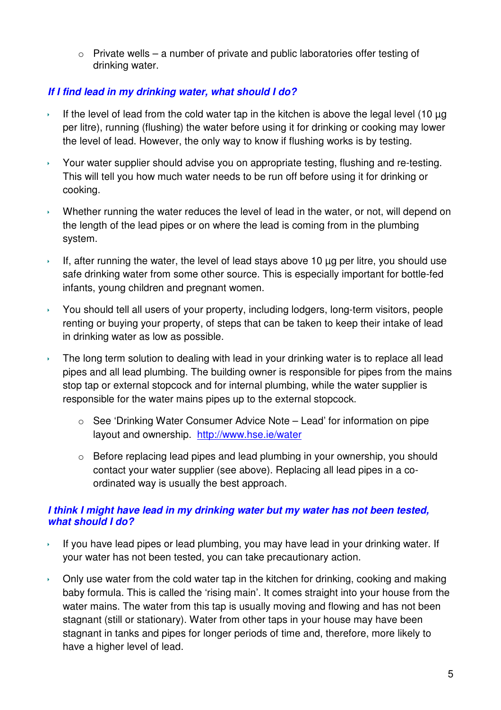$\circ$  Private wells – a number of private and public laboratories offer testing of drinking water.

# **If I find lead in my drinking water, what should I do?**

- If the level of lead from the cold water tap in the kitchen is above the legal level (10  $\mu$ g per litre), running (flushing) the water before using it for drinking or cooking may lower the level of lead. However, the only way to know if flushing works is by testing.
- Your water supplier should advise you on appropriate testing, flushing and re-testing. This will tell you how much water needs to be run off before using it for drinking or cooking.
- $\rightarrow$  Whether running the water reduces the level of lead in the water, or not, will depend on the length of the lead pipes or on where the lead is coming from in the plumbing system.
- If, after running the water, the level of lead stays above 10  $\mu$ g per litre, you should use safe drinking water from some other source. This is especially important for bottle-fed infants, young children and pregnant women.
- You should tell all users of your property, including lodgers, long-term visitors, people renting or buying your property, of steps that can be taken to keep their intake of lead in drinking water as low as possible.
- The long term solution to dealing with lead in your drinking water is to replace all lead pipes and all lead plumbing. The building owner is responsible for pipes from the mains stop tap or external stopcock and for internal plumbing, while the water supplier is responsible for the water mains pipes up to the external stopcock.
	- o See 'Drinking Water Consumer Advice Note Lead' for information on pipe layout and ownership. http://www.hse.ie/water
	- o Before replacing lead pipes and lead plumbing in your ownership, you should contact your water supplier (see above). Replacing all lead pipes in a coordinated way is usually the best approach.

# **I think I might have lead in my drinking water but my water has not been tested, what should I do?**

- If you have lead pipes or lead plumbing, you may have lead in your drinking water. If your water has not been tested, you can take precautionary action.
- $\rightarrow$  Only use water from the cold water tap in the kitchen for drinking, cooking and making baby formula. This is called the 'rising main'. It comes straight into your house from the water mains. The water from this tap is usually moving and flowing and has not been stagnant (still or stationary). Water from other taps in your house may have been stagnant in tanks and pipes for longer periods of time and, therefore, more likely to have a higher level of lead.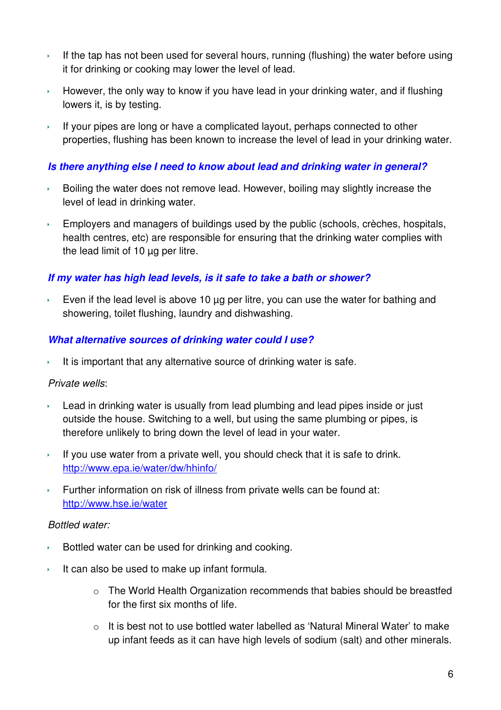- If the tap has not been used for several hours, running (flushing) the water before using it for drinking or cooking may lower the level of lead.
- $\rightarrow$  However, the only way to know if you have lead in your drinking water, and if flushing lowers it, is by testing.
- If your pipes are long or have a complicated layout, perhaps connected to other properties, flushing has been known to increase the level of lead in your drinking water.

## **Is there anything else I need to know about lead and drinking water in general?**

- $\rightarrow$  Boiling the water does not remove lead. However, boiling may slightly increase the level of lead in drinking water.
- $\overline{\phantom{a}}$  Employers and managers of buildings used by the public (schools, crèches, hospitals, health centres, etc) are responsible for ensuring that the drinking water complies with the lead limit of 10 µg per litre.

## **If my water has high lead levels, is it safe to take a bath or shower?**

 Even if the lead level is above 10 µg per litre, you can use the water for bathing and showering, toilet flushing, laundry and dishwashing.

## **What alternative sources of drinking water could I use?**

It is important that any alternative source of drinking water is safe.

#### Private wells:

- Lead in drinking water is usually from lead plumbing and lead pipes inside or just outside the house. Switching to a well, but using the same plumbing or pipes, is therefore unlikely to bring down the level of lead in your water.
- If you use water from a private well, you should check that it is safe to drink. http://www.epa.ie/water/dw/hhinfo/
- Further information on risk of illness from private wells can be found at: http://www.hse.ie/water

#### Bottled water:

- $\rightarrow$  Bottled water can be used for drinking and cooking.
- It can also be used to make up infant formula.
	- o The World Health Organization recommends that babies should be breastfed for the first six months of life.
	- $\circ$  It is best not to use bottled water labelled as 'Natural Mineral Water' to make up infant feeds as it can have high levels of sodium (salt) and other minerals.